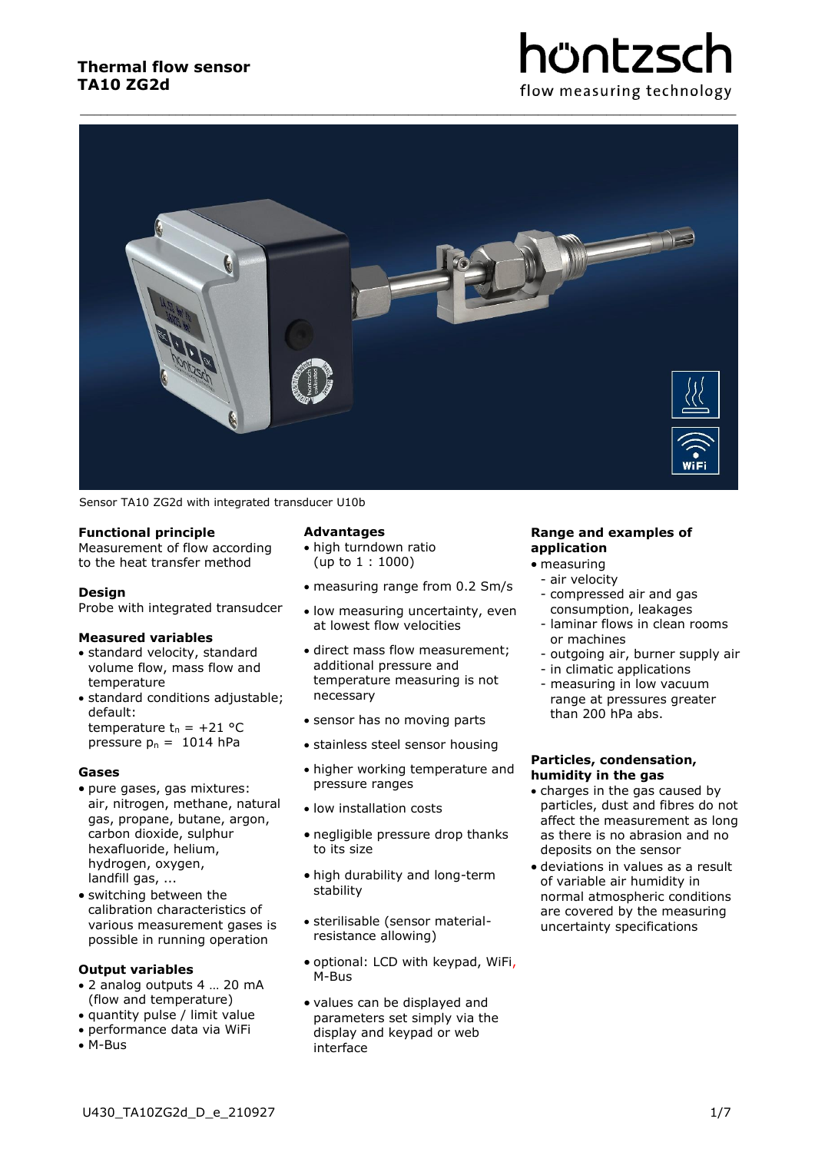# hüntzsc flow measuring technology



Sensor TA10 ZG2d with integrated transducer U10b

# **Functional principle**

Measurement of flow according to the heat transfer method

#### **Design**

Probe with integrated transudcer

#### **Measured variables**

- standard velocity, standard volume flow, mass flow and temperature
- standard conditions adjustable; default: temperature  $t_n = +21$  °C pressure  $p_n = 1014$  hPa

**Gases**

- pure gases, gas mixtures: air, nitrogen, methane, natural gas, propane, butane, argon, carbon dioxide, sulphur hexafluoride, helium, hydrogen, oxygen, landfill gas, ...
- switching between the calibration characteristics of various measurement gases is possible in running operation

# **Output variables**

- 2 analog outputs 4 … 20 mA (flow and temperature)
- quantity pulse / limit value
- performance data via WiFi
- M-Bus

# **Advantages**

- high turndown ratio (up to 1 : 1000)
- measuring range from 0.2 Sm/s
- low measuring uncertainty, even at lowest flow velocities
- direct mass flow measurement; additional pressure and temperature measuring is not necessary
- sensor has no moving parts
- stainless steel sensor housing
- higher working temperature and pressure ranges
- low installation costs
- negligible pressure drop thanks to its size
- high durability and long-term stability
- sterilisable (sensor materialresistance allowing)
- optional: LCD with keypad, WiFi, M-Bus
- values can be displayed and parameters set simply via the display and keypad or web interface

# **Range and examples of application**

- measuring
- air velocity
- compressed air and gas consumption, leakages
- laminar flows in clean rooms or machines
- outgoing air, burner supply air
- in climatic applications
- measuring in low vacuum range at pressures greater than 200 hPa abs.

#### **Particles, condensation, humidity in the gas**

- charges in the gas caused by particles, dust and fibres do not affect the measurement as long as there is no abrasion and no deposits on the sensor
- deviations in values as a result of variable air humidity in normal atmospheric conditions are covered by the measuring uncertainty specifications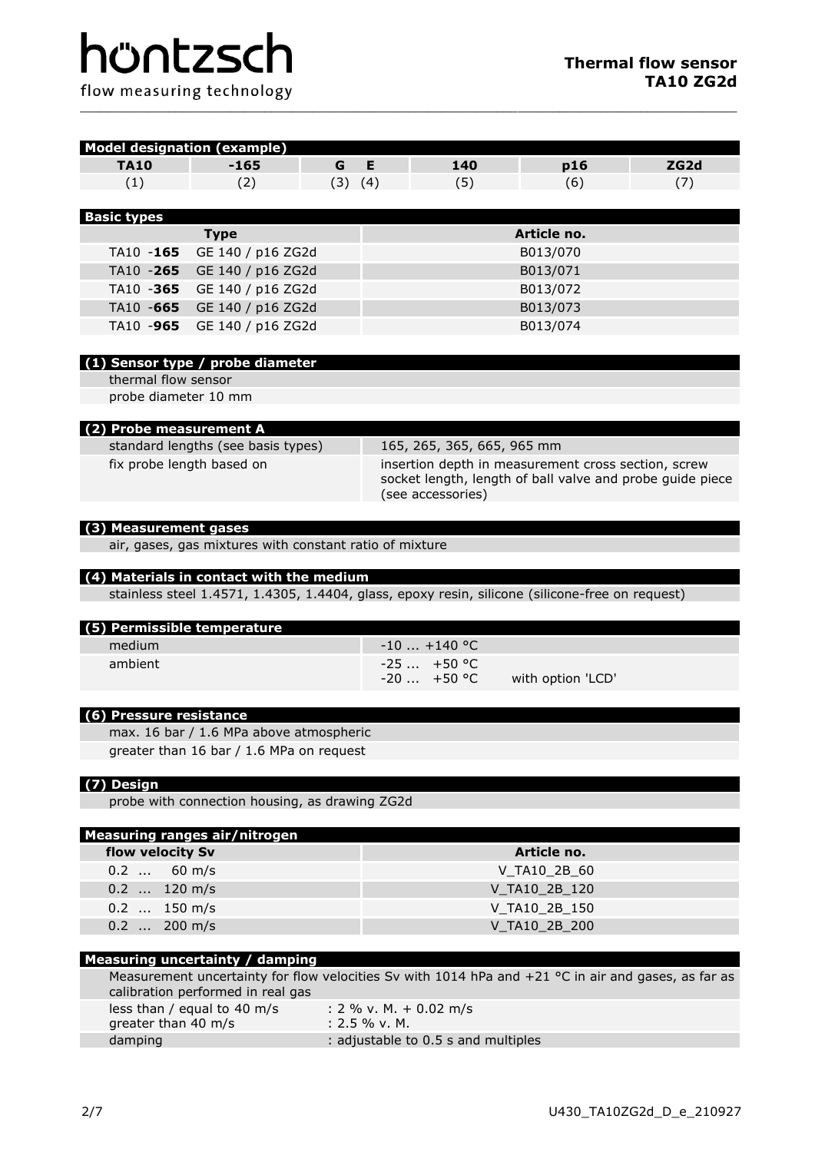| <b>Model designation (example)</b> |                                                         |             |                 |                                     |                                                                                                                  |                  |  |
|------------------------------------|---------------------------------------------------------|-------------|-----------------|-------------------------------------|------------------------------------------------------------------------------------------------------------------|------------------|--|
| <b>TA10</b>                        | $-165$                                                  | G           | Е               | 140                                 | p16                                                                                                              | ZG <sub>2d</sub> |  |
| (1)                                | (2)                                                     | $(3)$ $(4)$ |                 | (5)                                 | (6)                                                                                                              | (7)              |  |
|                                    |                                                         |             |                 |                                     |                                                                                                                  |                  |  |
| <b>Basic types</b>                 |                                                         |             |                 |                                     |                                                                                                                  |                  |  |
|                                    | <b>Type</b>                                             |             |                 |                                     | Article no.                                                                                                      |                  |  |
| TA10 -165                          | GE 140 / p16 ZG2d                                       |             |                 |                                     | B013/070                                                                                                         |                  |  |
| TA10 -265                          | GE 140 / p16 ZG2d                                       |             |                 |                                     | B013/071                                                                                                         |                  |  |
| TA10 -365                          | GE 140 / p16 ZG2d                                       |             |                 |                                     | B013/072                                                                                                         |                  |  |
| TA10 -665                          | GE 140 / p16 ZG2d                                       |             |                 |                                     | B013/073                                                                                                         |                  |  |
| TA10 -965                          | GE 140 / p16 ZG2d                                       |             |                 | B013/074                            |                                                                                                                  |                  |  |
|                                    |                                                         |             |                 |                                     |                                                                                                                  |                  |  |
|                                    | (1) Sensor type / probe diameter                        |             |                 |                                     |                                                                                                                  |                  |  |
| thermal flow sensor                |                                                         |             |                 |                                     |                                                                                                                  |                  |  |
| probe diameter 10 mm               |                                                         |             |                 |                                     |                                                                                                                  |                  |  |
|                                    |                                                         |             |                 |                                     |                                                                                                                  |                  |  |
| (2) Probe measurement A            |                                                         |             |                 |                                     |                                                                                                                  |                  |  |
|                                    | standard lengths (see basis types)                      |             |                 | 165, 265, 365, 665, 965 mm          |                                                                                                                  |                  |  |
|                                    | fix probe length based on                               |             |                 |                                     | insertion depth in measurement cross section, screw<br>socket length, length of ball valve and probe guide piece |                  |  |
|                                    |                                                         |             |                 | (see accessories)                   |                                                                                                                  |                  |  |
|                                    |                                                         |             |                 |                                     |                                                                                                                  |                  |  |
| (3) Measurement gases              |                                                         |             |                 |                                     |                                                                                                                  |                  |  |
|                                    | air, gases, gas mixtures with constant ratio of mixture |             |                 |                                     |                                                                                                                  |                  |  |
|                                    |                                                         |             |                 |                                     |                                                                                                                  |                  |  |
|                                    | (4) Materials in contact with the medium                |             |                 |                                     |                                                                                                                  |                  |  |
|                                    |                                                         |             |                 |                                     | stainless steel 1.4571, 1.4305, 1.4404, glass, epoxy resin, silicone (silicone-free on request)                  |                  |  |
| (5) Permissible temperature        |                                                         |             |                 |                                     |                                                                                                                  |                  |  |
| medium                             |                                                         |             |                 | $-10$ +140 °C                       |                                                                                                                  |                  |  |
| ambient                            |                                                         |             |                 | $-25 + 50$ °C                       |                                                                                                                  |                  |  |
|                                    |                                                         |             |                 | $-20$ $+50$ °C                      | with option 'LCD'                                                                                                |                  |  |
|                                    |                                                         |             |                 |                                     |                                                                                                                  |                  |  |
| (6) Pressure resistance            |                                                         |             |                 |                                     |                                                                                                                  |                  |  |
|                                    | max. 16 bar / 1.6 MPa above atmospheric                 |             |                 |                                     |                                                                                                                  |                  |  |
|                                    | greater than 16 bar / 1.6 MPa on request                |             |                 |                                     |                                                                                                                  |                  |  |
|                                    |                                                         |             |                 |                                     |                                                                                                                  |                  |  |
| (7) Design                         |                                                         |             |                 |                                     |                                                                                                                  |                  |  |
|                                    | probe with connection housing, as drawing ZG2d          |             |                 |                                     |                                                                                                                  |                  |  |
|                                    |                                                         |             |                 |                                     |                                                                                                                  |                  |  |
|                                    | <b>Measuring ranges air/nitrogen</b>                    |             |                 |                                     |                                                                                                                  |                  |  |
| flow velocity Sv                   |                                                         |             |                 |                                     | Article no.                                                                                                      |                  |  |
| $0.2$                              | $60 \text{ m/s}$                                        |             |                 |                                     | V_TA10_2B_60                                                                                                     |                  |  |
| 0.2  120 m/s                       |                                                         |             |                 |                                     | V_TA10_2B_120                                                                                                    |                  |  |
| 0.2  150 m/s                       |                                                         |             |                 |                                     | V_TA10_2B_150                                                                                                    |                  |  |
| 0.2  200 m/s                       |                                                         |             |                 |                                     | V TA10 2B 200                                                                                                    |                  |  |
|                                    |                                                         |             |                 |                                     |                                                                                                                  |                  |  |
|                                    | Measuring uncertainty / damping                         |             |                 |                                     | Measurement uncertainty for flow velocities Sv with 1014 hPa and $+21$ °C in air and gases, as far as            |                  |  |
|                                    | calibration performed in real gas                       |             |                 |                                     |                                                                                                                  |                  |  |
|                                    | less than / equal to 40 m/s                             |             |                 | : 2 % v. M. + 0.02 m/s              |                                                                                                                  |                  |  |
| greater than 40 m/s                |                                                         |             | $: 2.5 %$ v. M. |                                     |                                                                                                                  |                  |  |
| damping                            |                                                         |             |                 | : adjustable to 0.5 s and multiples |                                                                                                                  |                  |  |

\_\_\_\_\_\_\_\_\_\_\_\_\_\_\_\_\_\_\_\_\_\_\_\_\_\_\_\_\_\_\_\_\_\_\_\_\_\_\_\_\_\_\_\_\_\_\_\_\_\_\_\_\_\_\_\_\_\_\_\_\_\_\_\_\_\_\_\_\_\_\_\_\_\_\_\_\_\_\_\_\_\_\_\_\_\_\_\_\_\_\_\_\_\_\_\_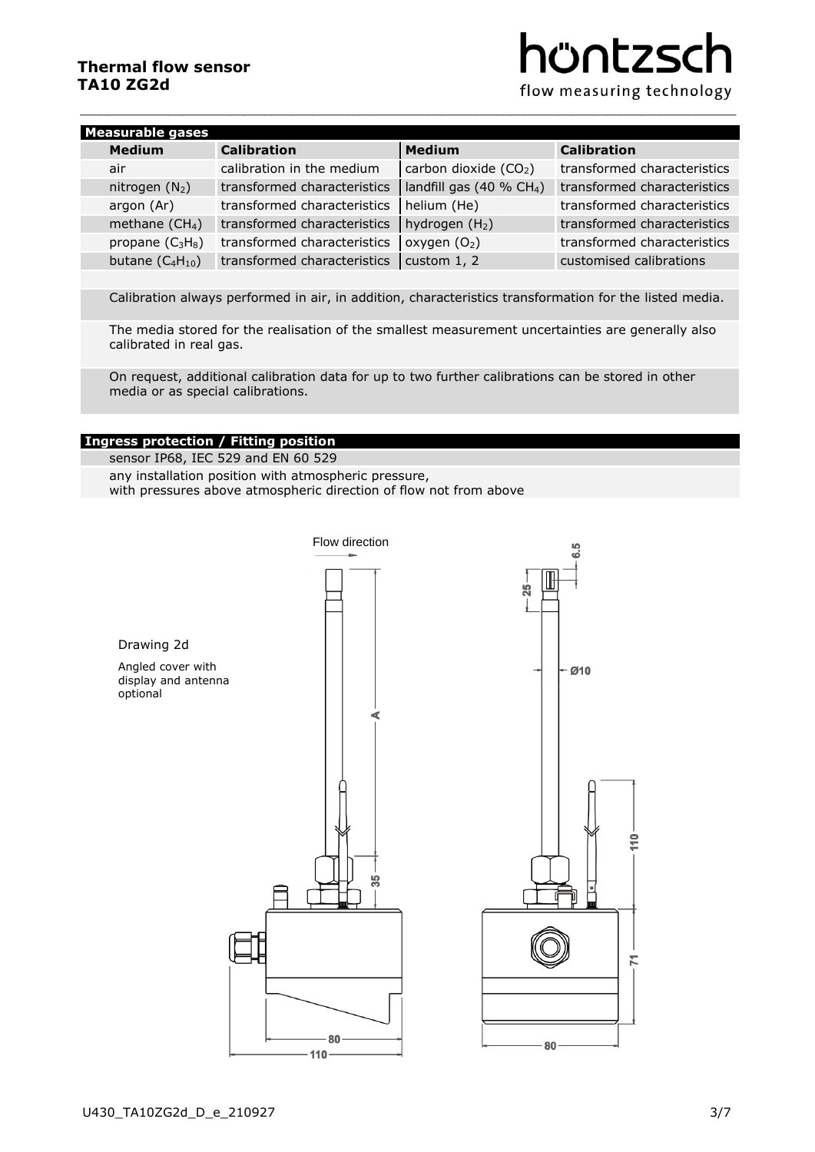# **Thermal flow sensor TA10 ZG2d**

# hüntzsc

flow measuring technology

| <b>Measurable gases</b> |                      |                             |                                   |                             |  |
|-------------------------|----------------------|-----------------------------|-----------------------------------|-----------------------------|--|
|                         | <b>Medium</b>        | <b>Calibration</b>          | <b>Medium</b>                     | <b>Calibration</b>          |  |
|                         | air                  | calibration in the medium   | carbon dioxide (CO <sub>2</sub> ) | transformed characteristics |  |
|                         | nitrogen $(N_2)$     | transformed characteristics | landfill gas $(40 % CH4)$         | transformed characteristics |  |
|                         | argon (Ar)           | transformed characteristics | helium (He)                       | transformed characteristics |  |
|                         | methane $(CH_4)$     | transformed characteristics | hydrogen $(H2)$                   | transformed characteristics |  |
|                         | propane $(C_3H_8)$   | transformed characteristics | oxygen $(O_2)$                    | transformed characteristics |  |
|                         | butane $(C_4H_{10})$ | transformed characteristics | custom $1, 2$                     | customised calibrations     |  |

 $\overline{a_1}$  ,  $\overline{a_2}$  ,  $\overline{a_3}$  ,  $\overline{a_4}$  ,  $\overline{a_5}$  ,  $\overline{a_6}$  ,  $\overline{a_7}$  ,  $\overline{a_8}$  ,  $\overline{a_9}$  ,  $\overline{a_9}$  ,  $\overline{a_9}$  ,  $\overline{a_9}$  ,  $\overline{a_9}$  ,  $\overline{a_9}$  ,  $\overline{a_9}$  ,  $\overline{a_9}$  ,  $\overline{a_9}$  ,

Calibration always performed in air, in addition, characteristics transformation for the listed media.

The media stored for the realisation of the smallest measurement uncertainties are generally also calibrated in real gas.

On request, additional calibration data for up to two further calibrations can be stored in other media or as special calibrations.

# **Ingress protection / Fitting position**

sensor IP68, IEC 529 and EN 60 529 any installation position with atmospheric pressure, with pressures above atmospheric direction of flow not from above

Flow direction**G.5**  $\overline{25}$ Drawing 2d Angled cover with  $-010$ display and antenna optional ď 씄 80 80  $110<sup>1</sup>$ 

 $\tilde{z}$ 

 $\overline{K}$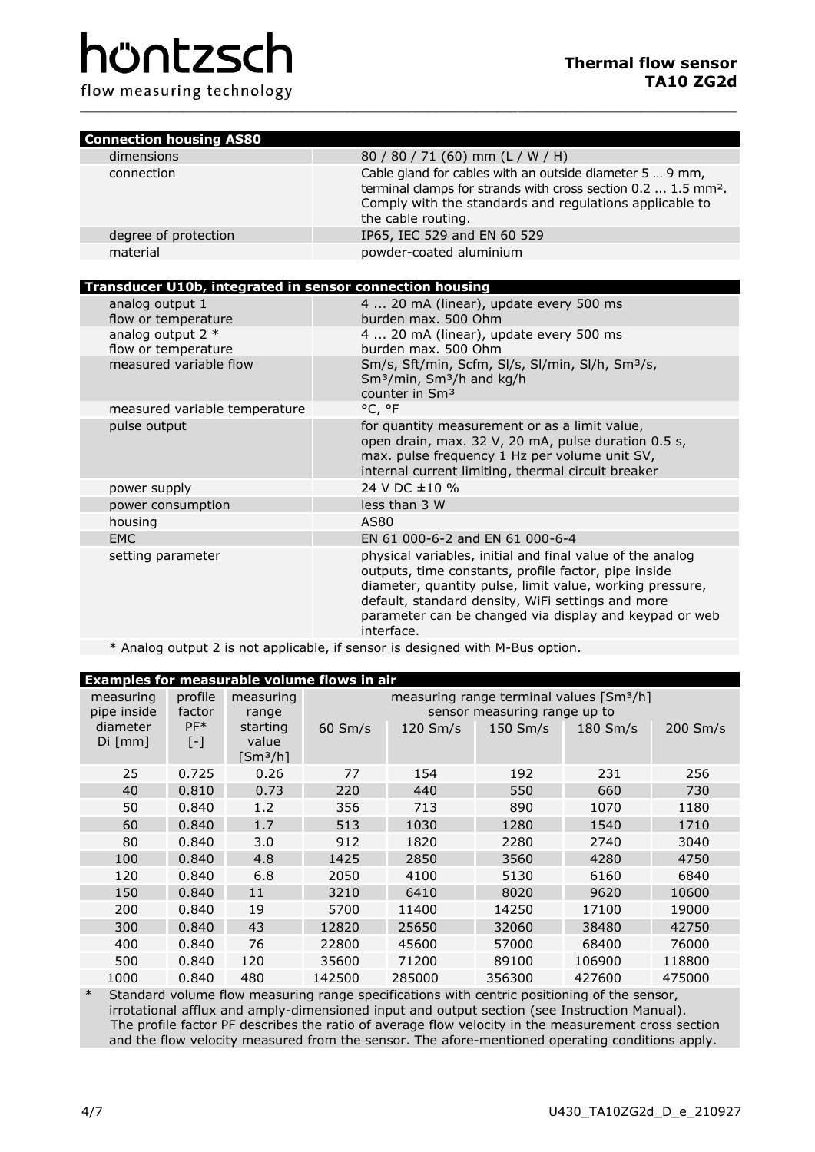# hüntzsch

flow measuring technology

| <b>Connection housing AS80</b> |                                                                                                                                                                                                                        |
|--------------------------------|------------------------------------------------------------------------------------------------------------------------------------------------------------------------------------------------------------------------|
| dimensions                     | 80 / 80 / 71 (60) mm (L / W / H)                                                                                                                                                                                       |
| connection                     | Cable gland for cables with an outside diameter 5  9 mm,<br>terminal clamps for strands with cross section 0.2  1.5 mm <sup>2</sup> .<br>Comply with the standards and regulations applicable to<br>the cable routing. |
| degree of protection           | IP65, IEC 529 and EN 60 529                                                                                                                                                                                            |
| material                       | powder-coated aluminium                                                                                                                                                                                                |

\_\_\_\_\_\_\_\_\_\_\_\_\_\_\_\_\_\_\_\_\_\_\_\_\_\_\_\_\_\_\_\_\_\_\_\_\_\_\_\_\_\_\_\_\_\_\_\_\_\_\_\_\_\_\_\_\_\_\_\_\_\_\_\_\_\_\_\_\_\_\_\_\_\_\_\_\_\_\_\_\_\_\_\_\_\_\_\_\_\_\_\_\_\_\_\_

# **Transducer U10b, integrated in sensor connection housing**

| analog output 1<br>flow or temperature     | 4  20 mA (linear), update every 500 ms<br>burden max. 500 Ohm                                                                                                                                                                                                                                              |
|--------------------------------------------|------------------------------------------------------------------------------------------------------------------------------------------------------------------------------------------------------------------------------------------------------------------------------------------------------------|
| analog output $2 *$<br>flow or temperature | 4  20 mA (linear), update every 500 ms<br>burden max. 500 Ohm                                                                                                                                                                                                                                              |
| measured variable flow                     | Sm/s, Sft/min, Scfm, Sl/s, Sl/min, Sl/h, Sm <sup>3</sup> /s,<br>Sm <sup>3</sup> /min, Sm <sup>3</sup> /h and kg/h<br>counter in Sm <sup>3</sup>                                                                                                                                                            |
| measured variable temperature              | °C, °F                                                                                                                                                                                                                                                                                                     |
| pulse output                               | for quantity measurement or as a limit value,<br>open drain, max. 32 V, 20 mA, pulse duration 0.5 s,<br>max. pulse frequency 1 Hz per volume unit SV,<br>internal current limiting, thermal circuit breaker                                                                                                |
| power supply                               | 24 V DC ±10 %                                                                                                                                                                                                                                                                                              |
| power consumption                          | less than 3 W                                                                                                                                                                                                                                                                                              |
| housing                                    | AS80                                                                                                                                                                                                                                                                                                       |
| EMC                                        | EN 61 000-6-2 and EN 61 000-6-4                                                                                                                                                                                                                                                                            |
| setting parameter                          | physical variables, initial and final value of the analog<br>outputs, time constants, profile factor, pipe inside<br>diameter, quantity pulse, limit value, working pressure,<br>default, standard density, WiFi settings and more<br>parameter can be changed via display and keypad or web<br>interface. |
|                                            | $\star$ Analan autout 3 is not analisable. if concertional with M. Due antian                                                                                                                                                                                                                              |

# \* Analog output 2 is not applicable, if sensor is designed with M-Bus option.

| <b>Examples for measurable volume flows in air</b> |                              |                              |                                                                                      |                      |            |            |            |
|----------------------------------------------------|------------------------------|------------------------------|--------------------------------------------------------------------------------------|----------------------|------------|------------|------------|
| measuring<br>pipe inside                           | profile<br>factor            | measuring<br>range           | measuring range terminal values [Sm <sup>3</sup> /h]<br>sensor measuring range up to |                      |            |            |            |
| diameter<br>Di [mm]                                | $PF*$<br>$\lbrack - \rbrack$ | starting<br>value<br>[Smª/h] | $60 \, \text{Sm/s}$                                                                  | $120 \, \text{Sm/s}$ | $150$ Sm/s | $180$ Sm/s | $200$ Sm/s |
| 25                                                 | 0.725                        | 0.26                         | 77                                                                                   | 154                  | 192        | 231        | 256        |
| 40                                                 | 0.810                        | 0.73                         | 220                                                                                  | 440                  | 550        | 660        | 730        |
| 50                                                 | 0.840                        | 1.2                          | 356                                                                                  | 713                  | 890        | 1070       | 1180       |
| 60                                                 | 0.840                        | 1.7                          | 513                                                                                  | 1030                 | 1280       | 1540       | 1710       |
| 80                                                 | 0.840                        | 3.0                          | 912                                                                                  | 1820                 | 2280       | 2740       | 3040       |
| 100                                                | 0.840                        | 4.8                          | 1425                                                                                 | 2850                 | 3560       | 4280       | 4750       |
| 120                                                | 0.840                        | 6.8                          | 2050                                                                                 | 4100                 | 5130       | 6160       | 6840       |
| 150                                                | 0.840                        | 11                           | 3210                                                                                 | 6410                 | 8020       | 9620       | 10600      |
| 200                                                | 0.840                        | 19                           | 5700                                                                                 | 11400                | 14250      | 17100      | 19000      |
| 300                                                | 0.840                        | 43                           | 12820                                                                                | 25650                | 32060      | 38480      | 42750      |
| 400                                                | 0.840                        | 76                           | 22800                                                                                | 45600                | 57000      | 68400      | 76000      |
| 500                                                | 0.840                        | 120                          | 35600                                                                                | 71200                | 89100      | 106900     | 118800     |
| 1000                                               | 0.840                        | 480                          | 142500                                                                               | 285000               | 356300     | 427600     | 475000     |

\* Standard volume flow measuring range specifications with centric positioning of the sensor, irrotational afflux and amply-dimensioned input and output section (see Instruction Manual). The profile factor PF describes the ratio of average flow velocity in the measurement cross section and the flow velocity measured from the sensor. The afore-mentioned operating conditions apply.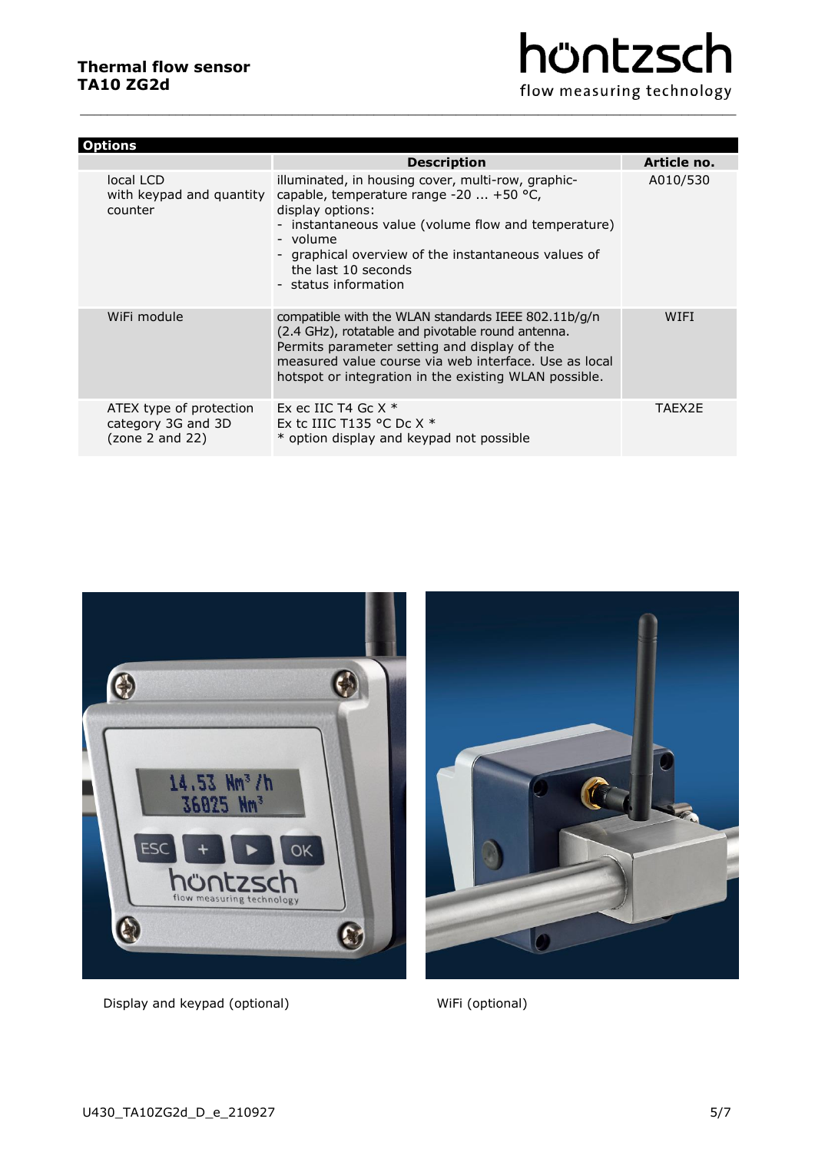| hüntzsch                  |
|---------------------------|
| flow measuring technology |

| <b>Options</b>                                                   |                                                                                                                                                                                                                                                                                                                            |             |  |  |  |
|------------------------------------------------------------------|----------------------------------------------------------------------------------------------------------------------------------------------------------------------------------------------------------------------------------------------------------------------------------------------------------------------------|-------------|--|--|--|
|                                                                  | <b>Description</b>                                                                                                                                                                                                                                                                                                         | Article no. |  |  |  |
| local LCD<br>counter                                             | illuminated, in housing cover, multi-row, graphic-<br>with keypad and quantity capable, temperature range -20 $\dots$ +50 °C,<br>display options:<br>- instantaneous value (volume flow and temperature)<br>- volume<br>- graphical overview of the instantaneous values of<br>the last 10 seconds<br>- status information | A010/530    |  |  |  |
| WiFi module                                                      | compatible with the WLAN standards IEEE 802.11b/g/n<br>(2.4 GHz), rotatable and pivotable round antenna.<br>Permits parameter setting and display of the<br>measured value course via web interface. Use as local<br>hotspot or integration in the existing WLAN possible.                                                 | WIFI        |  |  |  |
| ATEX type of protection<br>category 3G and 3D<br>(zone 2 and 22) | Ex ec IIC T4 Gc $X^*$<br>Ex to IIIC T135 °C Do $X^*$<br>* option display and keypad not possible                                                                                                                                                                                                                           | TAFX2F      |  |  |  |

 $\overline{a_1}$  ,  $\overline{a_2}$  ,  $\overline{a_3}$  ,  $\overline{a_4}$  ,  $\overline{a_5}$  ,  $\overline{a_6}$  ,  $\overline{a_7}$  ,  $\overline{a_8}$  ,  $\overline{a_9}$  ,  $\overline{a_9}$  ,  $\overline{a_9}$  ,  $\overline{a_9}$  ,  $\overline{a_9}$  ,  $\overline{a_9}$  ,  $\overline{a_9}$  ,  $\overline{a_9}$  ,  $\overline{a_9}$  ,



Display and keypad (optional) WiFi (optional)

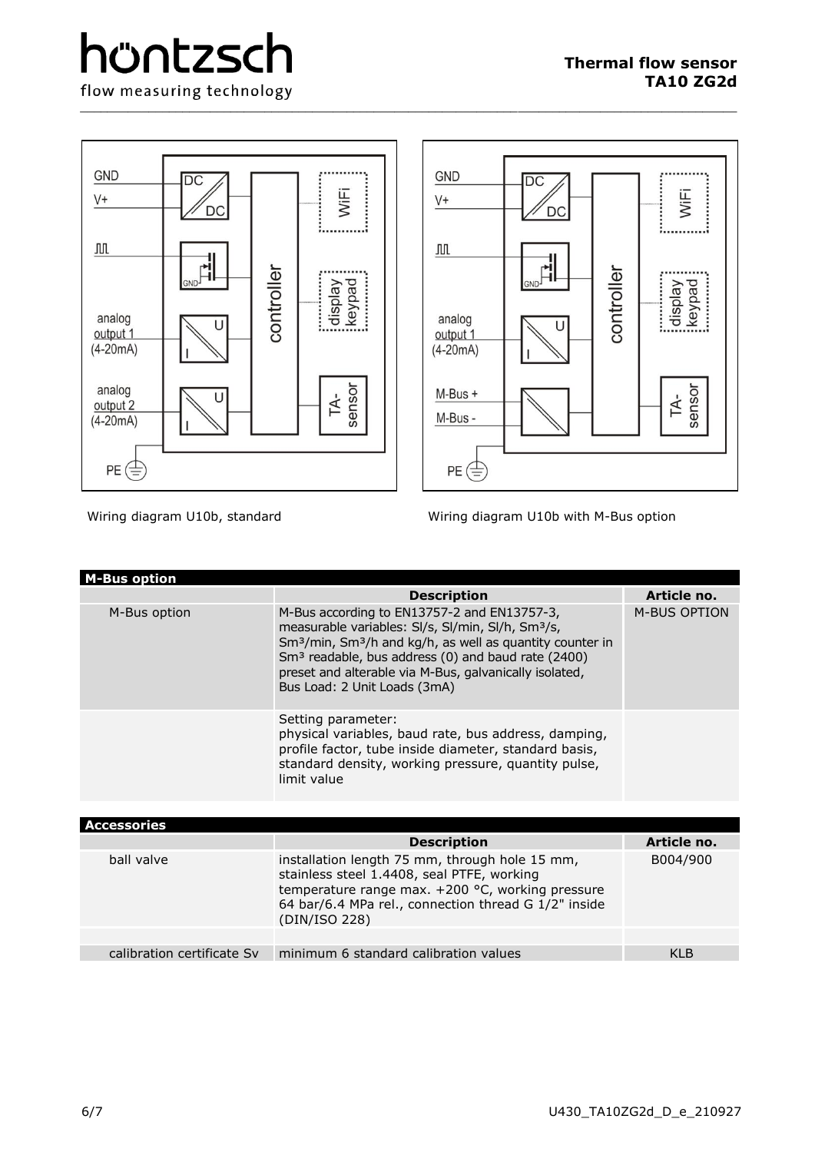

\_\_\_\_\_\_\_\_\_\_\_\_\_\_\_\_\_\_\_\_\_\_\_\_\_\_\_\_\_\_\_\_\_\_\_\_\_\_\_\_\_\_\_\_\_\_\_\_\_\_\_\_\_\_\_\_\_\_\_\_\_\_\_\_\_\_\_\_\_\_\_\_\_\_\_\_\_\_\_\_\_\_\_\_\_\_\_\_\_\_\_\_\_\_\_\_

Wiring diagram U10b, standard Wiring diagram U10b with M-Bus option

| <b>M-Bus option</b> |                                                                                                                                                                                                                                                                                                                                                               |              |
|---------------------|---------------------------------------------------------------------------------------------------------------------------------------------------------------------------------------------------------------------------------------------------------------------------------------------------------------------------------------------------------------|--------------|
|                     | <b>Description</b>                                                                                                                                                                                                                                                                                                                                            | Article no.  |
| M-Bus option        | M-Bus according to EN13757-2 and EN13757-3,<br>measurable variables: SI/s, SI/min, SI/h, Sm <sup>3</sup> /s,<br>Sm <sup>3</sup> /min, Sm <sup>3</sup> /h and kg/h, as well as quantity counter in<br>Sm <sup>3</sup> readable, bus address (0) and baud rate (2400)<br>preset and alterable via M-Bus, galvanically isolated,<br>Bus Load: 2 Unit Loads (3mA) | M-BUS OPTION |
|                     | Setting parameter:<br>physical variables, baud rate, bus address, damping,<br>profile factor, tube inside diameter, standard basis,<br>standard density, working pressure, quantity pulse,<br>limit value                                                                                                                                                     |              |

|                            | <b>Description</b>                                                                                                                                                                                                        | Article no. |
|----------------------------|---------------------------------------------------------------------------------------------------------------------------------------------------------------------------------------------------------------------------|-------------|
| ball valve                 | installation length 75 mm, through hole 15 mm,<br>stainless steel 1.4408, seal PTFE, working<br>temperature range max. +200 °C, working pressure<br>64 bar/6.4 MPa rel., connection thread G 1/2" inside<br>(DIN/ISO 228) | B004/900    |
|                            |                                                                                                                                                                                                                           |             |
| calibration certificate Sy | minimum 6 standard calibration values                                                                                                                                                                                     | KI B        |
|                            | <b>Accessories</b>                                                                                                                                                                                                        |             |